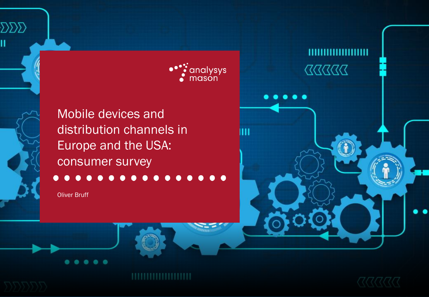

Ш



Mobile devices and distribution channels in Europe and the USA: consumer survey

Oliver Bruff

 $\sum\sum\sum$ 

Ħ



 $\begin{array}{c} \text{X} \text{X} \text{X} \text{X} \text{X} \text{X} \text{X} \end{array}$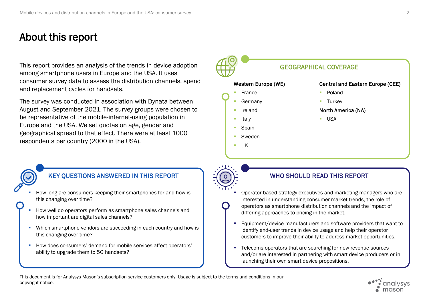# About this report

This report provides an analysis of the trends in device adoption GHAM GEOGRAPHICAL COVERAGE among smartphone users in Europe and the USA. It uses consumer survey data to assess the distribution channels, spend and replacement cycles for handsets.

The survey was conducted in association with Dynata between August and September 2021. The survey groups were chosen to be representative of the mobile-internet-using population in Europe and the USA. We set quotas on age, gender and geographical spread to that effect. There were at least 1000 respondents per country (2000 in the USA).





- How long are consumers keeping their smartphones for and how is this changing over time?
- How well do operators perform as smartphone sales channels and how important are digital sales channels?
- Which smartphone vendors are succeeding in each country and how is this changing over time?
- How does consumers' demand for mobile services affect operators' ability to upgrade them to 5G handsets?

- Operator-based strategy executives and marketing managers who are interested in understanding consumer market trends, the role of operators as smartphone distribution channels and the impact of differing approaches to pricing in the market.
- Equipment/device manufacturers and software providers that want to identify end-user trends in device usage and help their operator customers to improve their ability to address market opportunities.
- Telecoms operators that are searching for new revenue sources and/or are interested in partnering with smart device producers or in launching their own smart device propositions.

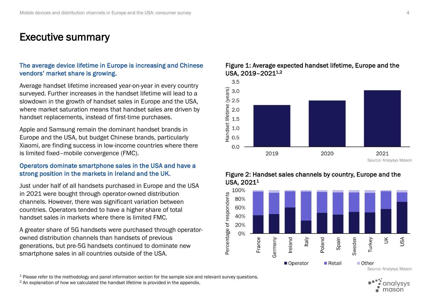## Executive summary

## The average device lifetime in Europe is increasing and Chinese vendors' market share is growing.

Average handset lifetime increased year-on-year in every country surveyed. Further increases in the handset lifetime will lead to a slowdown in the growth of handset sales in Europe and the USA, where market saturation means that handset sales are driven by handset replacements, instead of first-time purchases.

Apple and Samsung remain the dominant handset brands in Europe and the USA, but budget Chinese brands, particularly Xiaomi, are finding success in low-income countries where there is limited fixed–mobile convergence (FMC).

## Operators dominate smartphone sales in the USA and have a strong position in the markets in Ireland and the UK.

Just under half of all handsets purchased in Europe and the USA in 2021 were bought through operator-owned distribution channels. However, there was significant variation between countries. Operators tended to have a higher share of total handset sales in markets where there is limited FMC.

A greater share of 5G handsets were purchased through operatorowned distribution channels than handsets of previous generations, but pre-5G handsets continued to dominate new smartphone sales in all countries outside of the USA.







## Figure 2: Handset sales channels by country, Europe and the USA, 2021<sup>1</sup>

<sup>1</sup> Please refer to the methodology and panel information section for the sample size and relevant survey questions.

mason

 $2$  An explanation of how we calculated the handset lifetime is provided in the appendix.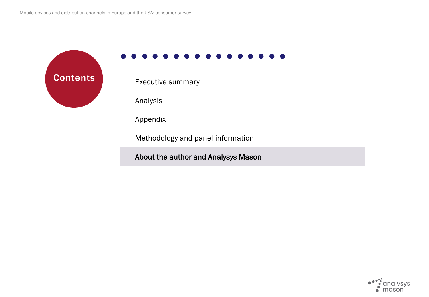**Contents** Executive summary

Analysis

Appendix

Methodology and panel information

About the author and Analysys Mason

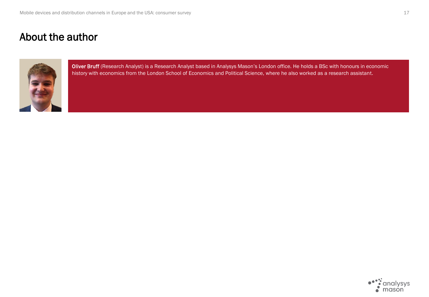# About the author



Oliver Bruff (Research Analyst) is a Research Analyst based in Analysys Mason's London office. He holds a BSc with honours in economic history with economics from the London School of Economics and Political Science, where he also worked as a research assistant.

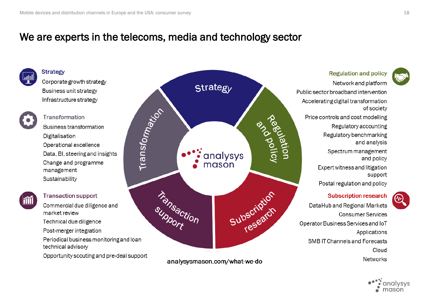# We are experts in the telecoms, media and technology sector





ullil

### **Transaction support**

Commercial due diligence and market review Technical due diligence

Post-merger integration

Periodical business monitoring and loan technical advisory

Opportunity scouting and pre-deal support



analysysmason.com/what-we-do



**Regulation and policy** 

Network and platform Public sector broadband intervention Accelerating digital transformation of society Price controls and cost modelling Regulatory accounting Regulatory benchmarking and analysis Spectrum management and policy Expert witness and litigation support Postal regulation and policy



DataHub and Regional Markets **Consumer Services** Operator Business Services and IoT Applications SMB IT Channels and Forecasts Cloud **Networks** 



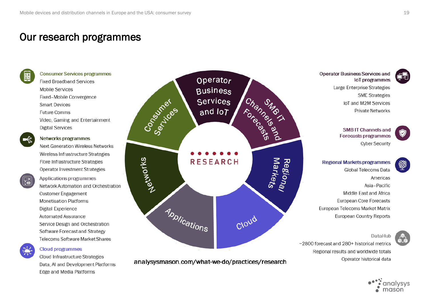# Our research programmes



### **Consumer Services programmes**

**Fixed Broadband Services Mobile Services** Fixed-Mobile Convergence **Smart Devices Future Comms** Video, Gaming and Entertainment **Digital Services** 



#### Networks programmes

Next-Generation Wireless Networks Wireless Infrastructure Strategies Fibre Infrastructure Strategies Operator Investment Strategies



Applications programmes Network Automation and Orchestration **Customer Engagement Monetisation Platforms** Digital Experience Automated Assurance Service Design and Orchestration Software Forecast and Strategy Telecoms Software Market Shares



### **Cloud programmes**

Cloud Infrastructure Strategies Data, AI and Development Platforms Edge and Media Platforms



analysysmason.com/what-we-do/practices/research

**Operator Business Services and** loT programmes

> Large Enterprise Strategies **SME Strategies** IoT and M2M Services **Private Networks**

**SMB IT Channels and** Forecasts programmes **Cyber Security** 

**Regional Markets programmes** Global Telecoms Data Americas Asia-Pacific Middle East and Africa European Core Forecasts European Telecoms Market Matrix European Country Reports

~2800 forecast and 280+ historical metrics Regional results and worldwide totals Operator historical data



DataHub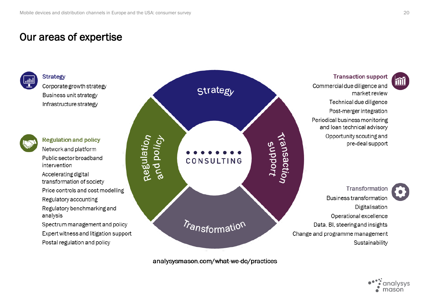# Our areas of expertise



**Strategy** Corporate growth strategy

Business unit strategy Infrastructure strategy



**Regulation and policy** Network and platform Public sector broadband intervention

Accelerating digital transformation of society

Price controls and cost modelling

Regulatory accounting

Regulatory benchmarking and analysis

Spectrum management and policy Expert witness and litigation support Postal regulation and policy



analysysmason.com/what-we-do/practices

**Transaction support** 

Commercial due diligence and market review Technical due diligence Post-merger integration Periodical business monitoring and loan technical advisory Opportunity scouting and pre-deal support

**Transformation** Business transformation Digitalisation Operational excellence Data, BI, steering and insights Change and programme management Sustainability